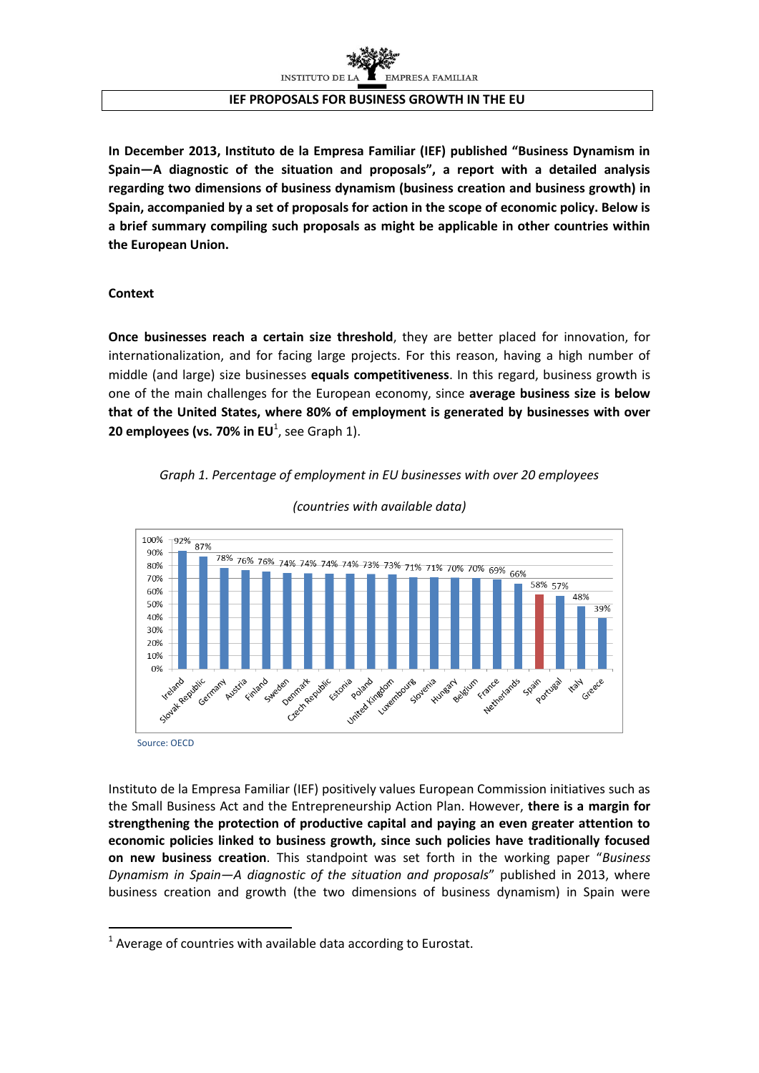

#### **IEF PROPOSALS FOR BUSINESS GROWTH IN THE EU**

**In December 2013, Instituto de la Empresa Familiar (IEF) published "Business Dynamism in Spain—A diagnostic of the situation and proposals", a report with a detailed analysis regarding two dimensions of business dynamism (business creation and business growth) in Spain, accompanied by a set of proposals for action in the scope of economic policy. Below is a brief summary compiling such proposals as might be applicable in other countries within the European Union.**

#### **Context**

**.** 

**Once businesses reach a certain size threshold**, they are better placed for innovation, for internationalization, and for facing large projects. For this reason, having a high number of middle (and large) size businesses **equals competitiveness**. In this regard, business growth is one of the main challenges for the European economy, since **average business size is below that of the United States, where 80% of employment is generated by businesses with over 20 employees (vs. 70% in EU**<sup>1</sup>, see Graph 1).

#### *Graph 1. Percentage of employment in EU businesses with over 20 employees*



*(countries with available data)*

Instituto de la Empresa Familiar (IEF) positively values European Commission initiatives such as the Small Business Act and the Entrepreneurship Action Plan. However, **there is a margin for strengthening the protection of productive capital and paying an even greater attention to economic policies linked to business growth, since such policies have traditionally focused on new business creation**. This standpoint was set forth in the working paper "*Business Dynamism in Spain—A diagnostic of the situation and proposals*" published in 2013, where business creation and growth (the two dimensions of business dynamism) in Spain were

 $1$  Average of countries with available data according to Eurostat.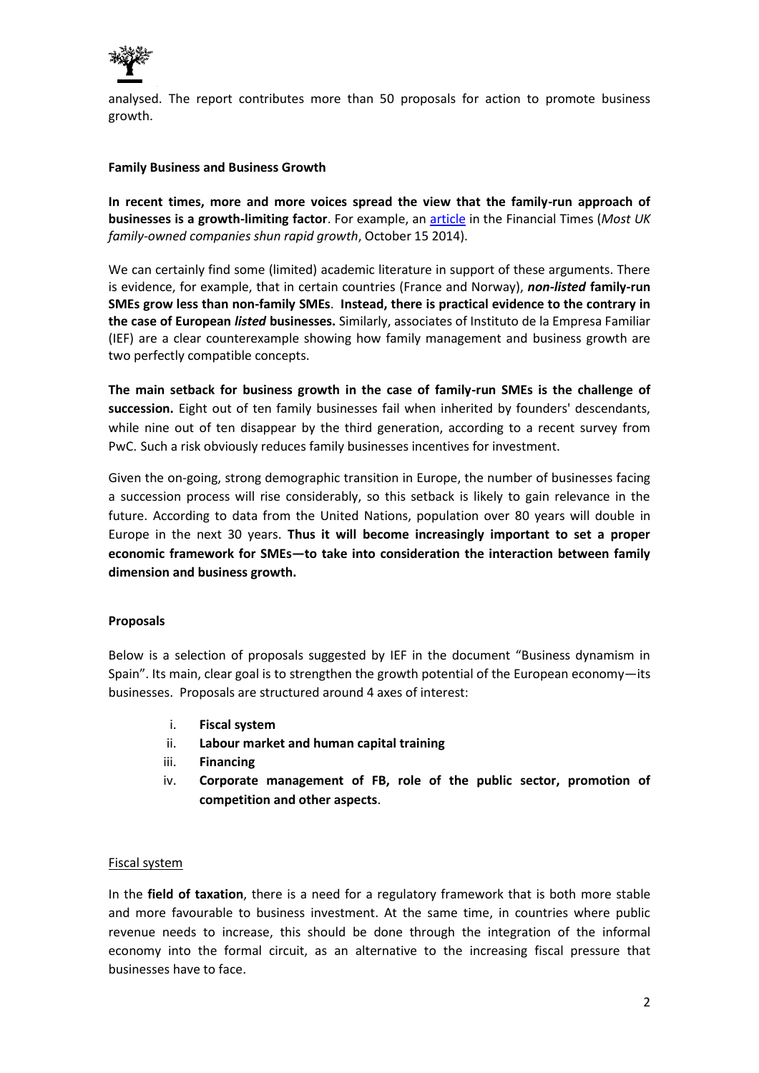

analysed. The report contributes more than 50 proposals for action to promote business growth.

#### **Family Business and Business Growth**

**In recent times, more and more voices spread the view that the family-run approach of businesses is a growth-limiting factor**. For example, an article in the Financial Times (*Most UK family-owned companies shun rapid growth*, October 15 2014).

We can certainly find some (limited) academic literature in support of these arguments. There is evidence, for example, that in certain countries (France and Norway), *non-listed* **family-run SMEs grow less than non-family SMEs**. **Instead, there is practical evidence to the contrary in the case of European** *listed* **businesses.** Similarly, associates of Instituto de la Empresa Familiar (IEF) are a clear counterexample showing how family management and business growth are two perfectly compatible concepts.

**The main setback for business growth in the case of family-run SMEs is the challenge of succession.** Eight out of ten family businesses fail when inherited by founders' descendants, while nine out of ten disappear by the third generation, according to a recent survey from PwC. Such a risk obviously reduces family businesses incentives for investment.

Given the on-going, strong demographic transition in Europe, the number of businesses facing a succession process will rise considerably, so this setback is likely to gain relevance in the future. According to data from the United Nations, population over 80 years will double in Europe in the next 30 years. **Thus it will become increasingly important to set a proper economic framework for SMEs—to take into consideration the interaction between family dimension and business growth.**

# **Proposals**

Below is a selection of proposals suggested by IEF in the document "Business dynamism in Spain". Its main, clear goal is to strengthen the growth potential of the European economy—its businesses. Proposals are structured around 4 axes of interest:

- i. **Fiscal system**
- ii. **Labour market and human capital training**
- iii. **Financing**
- iv. **Corporate management of FB, role of the public sector, promotion of competition and other aspects**.

# Fiscal system

In the **field of taxation**, there is a need for a regulatory framework that is both more stable and more favourable to business investment. At the same time, in countries where public revenue needs to increase, this should be done through the integration of the informal economy into the formal circuit, as an alternative to the increasing fiscal pressure that businesses have to face.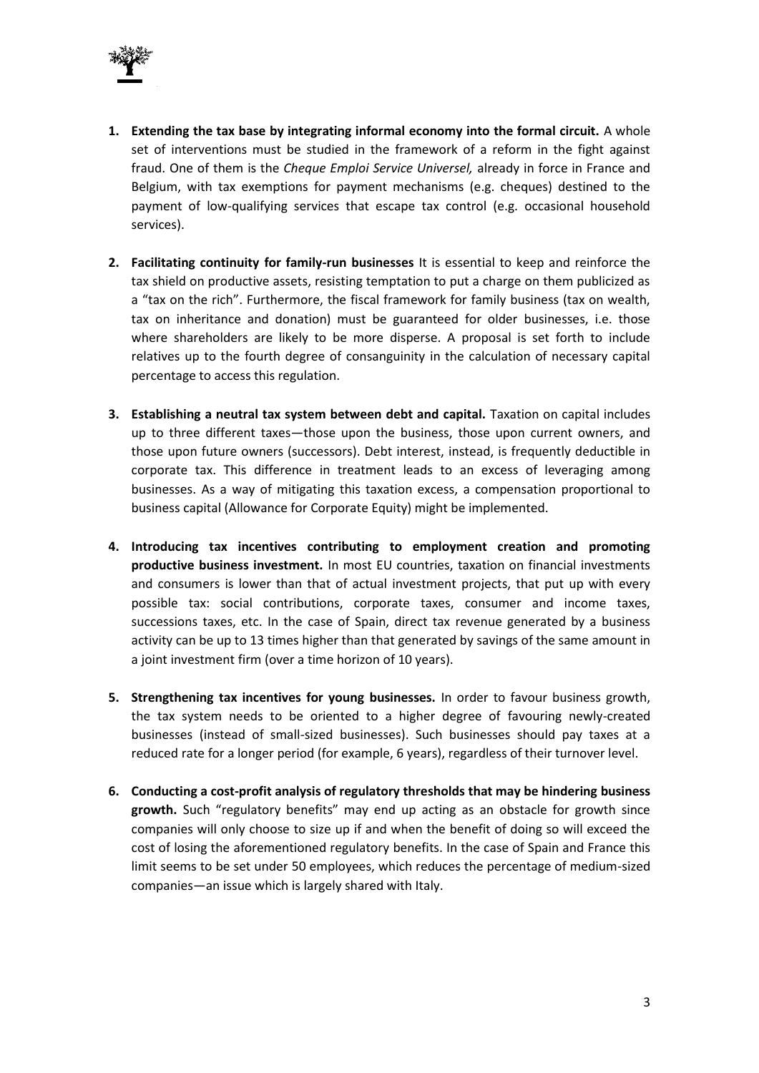

- **1. Extending the tax base by integrating informal economy into the formal circuit.** A whole set of interventions must be studied in the framework of a reform in the fight against fraud. One of them is the *Cheque Emploi Service Universel,* already in force in France and Belgium, with tax exemptions for payment mechanisms (e.g. cheques) destined to the payment of low-qualifying services that escape tax control (e.g. occasional household services).
- **2. Facilitating continuity for family-run businesses** It is essential to keep and reinforce the tax shield on productive assets, resisting temptation to put a charge on them publicized as a "tax on the rich". Furthermore, the fiscal framework for family business (tax on wealth, tax on inheritance and donation) must be guaranteed for older businesses, i.e. those where shareholders are likely to be more disperse. A proposal is set forth to include relatives up to the fourth degree of consanguinity in the calculation of necessary capital percentage to access this regulation.
- **3. Establishing a neutral tax system between debt and capital.** Taxation on capital includes up to three different taxes—those upon the business, those upon current owners, and those upon future owners (successors). Debt interest, instead, is frequently deductible in corporate tax. This difference in treatment leads to an excess of leveraging among businesses. As a way of mitigating this taxation excess, a compensation proportional to business capital (Allowance for Corporate Equity) might be implemented.
- **4. Introducing tax incentives contributing to employment creation and promoting productive business investment.** In most EU countries, taxation on financial investments and consumers is lower than that of actual investment projects, that put up with every possible tax: social contributions, corporate taxes, consumer and income taxes, successions taxes, etc. In the case of Spain, direct tax revenue generated by a business activity can be up to 13 times higher than that generated by savings of the same amount in a joint investment firm (over a time horizon of 10 years).
- **5. Strengthening tax incentives for young businesses.** In order to favour business growth, the tax system needs to be oriented to a higher degree of favouring newly-created businesses (instead of small-sized businesses). Such businesses should pay taxes at a reduced rate for a longer period (for example, 6 years), regardless of their turnover level.
- **6. Conducting a cost-profit analysis of regulatory thresholds that may be hindering business growth.** Such "regulatory benefits" may end up acting as an obstacle for growth since companies will only choose to size up if and when the benefit of doing so will exceed the cost of losing the aforementioned regulatory benefits. In the case of Spain and France this limit seems to be set under 50 employees, which reduces the percentage of medium-sized companies—an issue which is largely shared with Italy.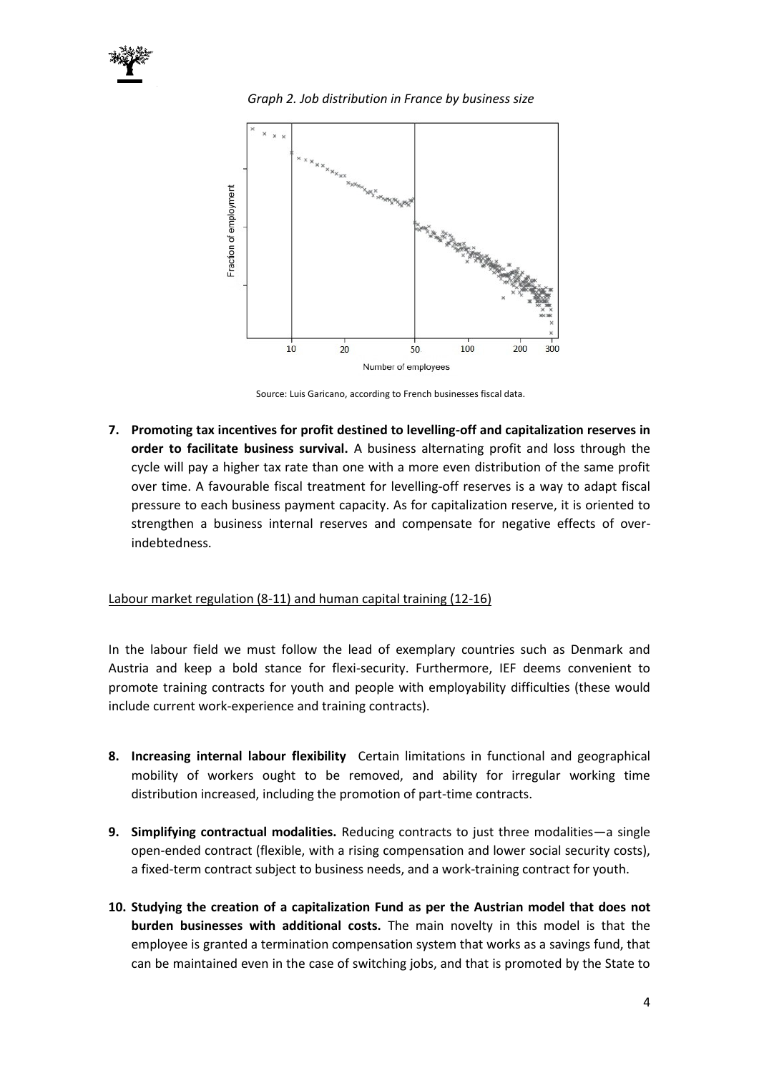

*Graph 2. Job distribution in France by business size*



Source: Luis Garicano, according to French businesses fiscal data.

**7. Promoting tax incentives for profit destined to levelling-off and capitalization reserves in order to facilitate business survival.** A business alternating profit and loss through the cycle will pay a higher tax rate than one with a more even distribution of the same profit over time. A favourable fiscal treatment for levelling-off reserves is a way to adapt fiscal pressure to each business payment capacity. As for capitalization reserve, it is oriented to strengthen a business internal reserves and compensate for negative effects of overindebtedness.

# Labour market regulation (8-11) and human capital training (12-16)

In the labour field we must follow the lead of exemplary countries such as Denmark and Austria and keep a bold stance for flexi-security. Furthermore, IEF deems convenient to promote training contracts for youth and people with employability difficulties (these would include current work-experience and training contracts).

- **8. Increasing internal labour flexibility** Certain limitations in functional and geographical mobility of workers ought to be removed, and ability for irregular working time distribution increased, including the promotion of part-time contracts.
- **9. Simplifying contractual modalities.** Reducing contracts to just three modalities—a single open-ended contract (flexible, with a rising compensation and lower social security costs), a fixed-term contract subject to business needs, and a work-training contract for youth.
- **10. Studying the creation of a capitalization Fund as per the Austrian model that does not burden businesses with additional costs.** The main novelty in this model is that the employee is granted a termination compensation system that works as a savings fund, that can be maintained even in the case of switching jobs, and that is promoted by the State to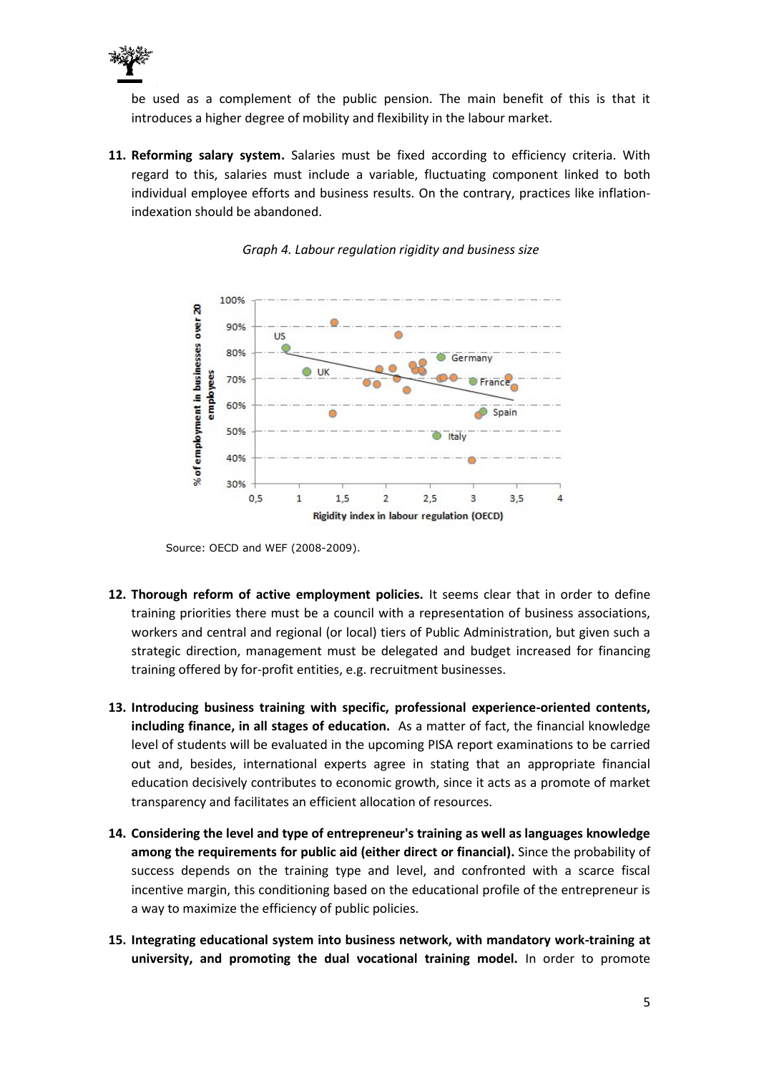

be used as a complement of the public pension. The main benefit of this is that it introduces a higher degree of mobility and flexibility in the labour market.

**11. Reforming salary system.** Salaries must be fixed according to efficiency criteria. With regard to this, salaries must include a variable, fluctuating component linked to both individual employee efforts and business results. On the contrary, practices like inflationindexation should be abandoned.





Source: OECD and WEF (2008-2009).

- **12. Thorough reform of active employment policies.** It seems clear that in order to define training priorities there must be a council with a representation of business associations, workers and central and regional (or local) tiers of Public Administration, but given such a strategic direction, management must be delegated and budget increased for financing training offered by for-profit entities, e.g. recruitment businesses.
- **13. Introducing business training with specific, professional experience-oriented contents, including finance, in all stages of education.** As a matter of fact, the financial knowledge level of students will be evaluated in the upcoming PISA report examinations to be carried out and, besides, international experts agree in stating that an appropriate financial education decisively contributes to economic growth, since it acts as a promote of market transparency and facilitates an efficient allocation of resources.
- **14. Considering the level and type of entrepreneur's training as well as languages knowledge among the requirements for public aid (either direct or financial).** Since the probability of success depends on the training type and level, and confronted with a scarce fiscal incentive margin, this conditioning based on the educational profile of the entrepreneur is a way to maximize the efficiency of public policies.
- **15. Integrating educational system into business network, with mandatory work-training at university, and promoting the dual vocational training model.** In order to promote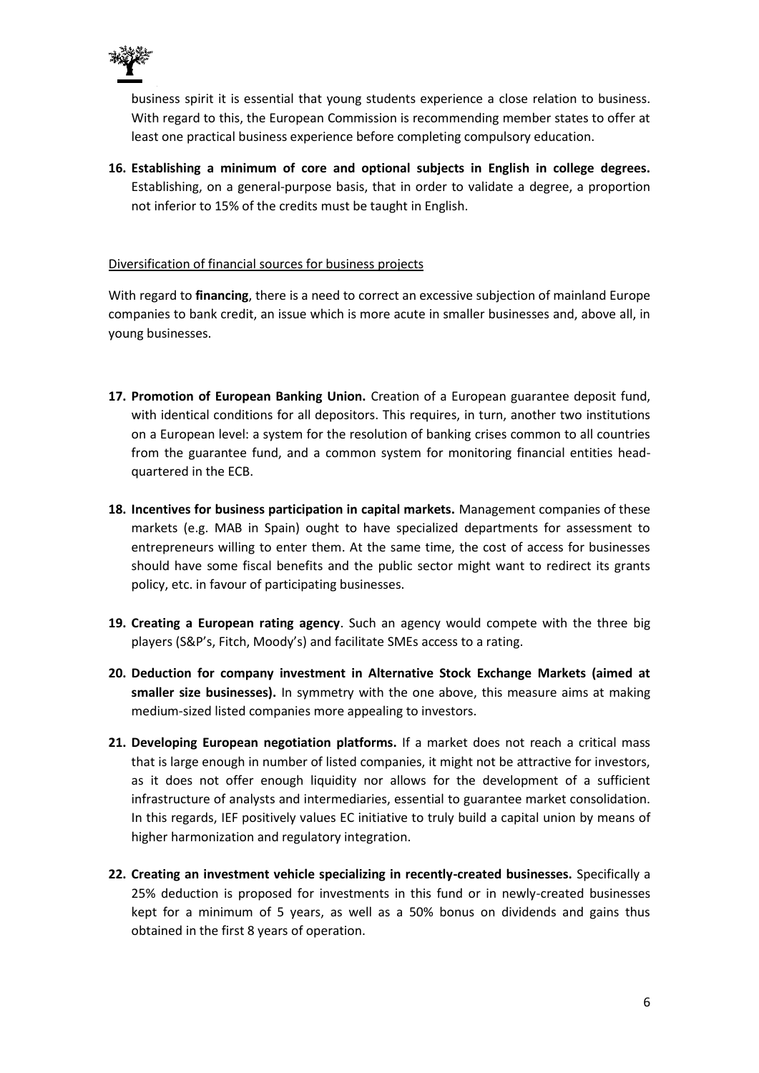

business spirit it is essential that young students experience a close relation to business. With regard to this, the European Commission is recommending member states to offer at least one practical business experience before completing compulsory education.

**16. Establishing a minimum of core and optional subjects in English in college degrees.**  Establishing, on a general-purpose basis, that in order to validate a degree, a proportion not inferior to 15% of the credits must be taught in English.

# Diversification of financial sources for business projects

With regard to **financing**, there is a need to correct an excessive subjection of mainland Europe companies to bank credit, an issue which is more acute in smaller businesses and, above all, in young businesses.

- **17. Promotion of European Banking Union.** Creation of a European guarantee deposit fund, with identical conditions for all depositors. This requires, in turn, another two institutions on a European level: a system for the resolution of banking crises common to all countries from the guarantee fund, and a common system for monitoring financial entities headquartered in the ECB.
- **18. Incentives for business participation in capital markets.** Management companies of these markets (e.g. MAB in Spain) ought to have specialized departments for assessment to entrepreneurs willing to enter them. At the same time, the cost of access for businesses should have some fiscal benefits and the public sector might want to redirect its grants policy, etc. in favour of participating businesses.
- **19. Creating a European rating agency**. Such an agency would compete with the three big players (S&P's, Fitch, Moody's) and facilitate SMEs access to a rating.
- **20. Deduction for company investment in Alternative Stock Exchange Markets (aimed at smaller size businesses).** In symmetry with the one above, this measure aims at making medium-sized listed companies more appealing to investors.
- **21. Developing European negotiation platforms.** If a market does not reach a critical mass that is large enough in number of listed companies, it might not be attractive for investors, as it does not offer enough liquidity nor allows for the development of a sufficient infrastructure of analysts and intermediaries, essential to guarantee market consolidation. In this regards, IEF positively values EC initiative to truly build a capital union by means of higher harmonization and regulatory integration.
- **22. Creating an investment vehicle specializing in recently-created businesses.** Specifically a 25% deduction is proposed for investments in this fund or in newly-created businesses kept for a minimum of 5 years, as well as a 50% bonus on dividends and gains thus obtained in the first 8 years of operation.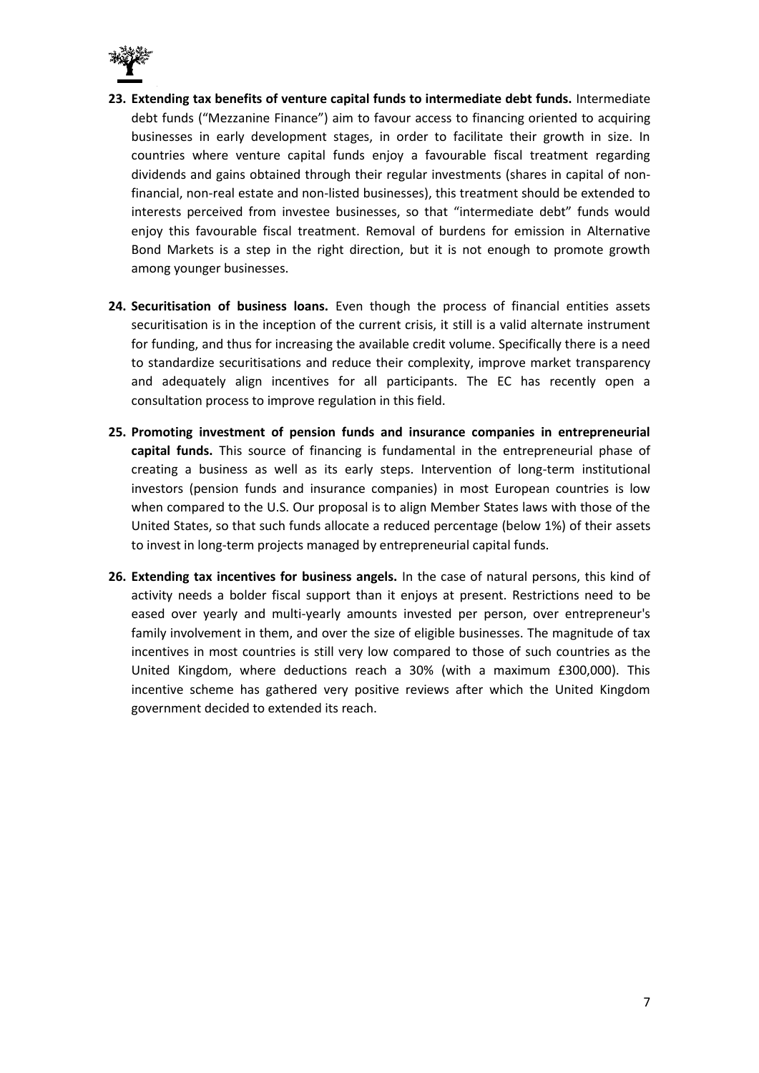

- **23. Extending tax benefits of venture capital funds to intermediate debt funds.** Intermediate debt funds ("Mezzanine Finance") aim to favour access to financing oriented to acquiring businesses in early development stages, in order to facilitate their growth in size. In countries where venture capital funds enjoy a favourable fiscal treatment regarding dividends and gains obtained through their regular investments (shares in capital of nonfinancial, non-real estate and non-listed businesses), this treatment should be extended to interests perceived from investee businesses, so that "intermediate debt" funds would enjoy this favourable fiscal treatment. Removal of burdens for emission in Alternative Bond Markets is a step in the right direction, but it is not enough to promote growth among younger businesses.
- **24. Securitisation of business loans.** Even though the process of financial entities assets securitisation is in the inception of the current crisis, it still is a valid alternate instrument for funding, and thus for increasing the available credit volume. Specifically there is a need to standardize securitisations and reduce their complexity, improve market transparency and adequately align incentives for all participants. The EC has recently open a consultation process to improve regulation in this field.
- **25. Promoting investment of pension funds and insurance companies in entrepreneurial capital funds.** This source of financing is fundamental in the entrepreneurial phase of creating a business as well as its early steps. Intervention of long-term institutional investors (pension funds and insurance companies) in most European countries is low when compared to the U.S. Our proposal is to align Member States laws with those of the United States, so that such funds allocate a reduced percentage (below 1%) of their assets to invest in long-term projects managed by entrepreneurial capital funds.
- **26. Extending tax incentives for business angels.** In the case of natural persons, this kind of activity needs a bolder fiscal support than it enjoys at present. Restrictions need to be eased over yearly and multi-yearly amounts invested per person, over entrepreneur's family involvement in them, and over the size of eligible businesses. The magnitude of tax incentives in most countries is still very low compared to those of such countries as the United Kingdom, where deductions reach a 30% (with a maximum £300,000). This incentive scheme has gathered very positive reviews after which the United Kingdom government decided to extended its reach.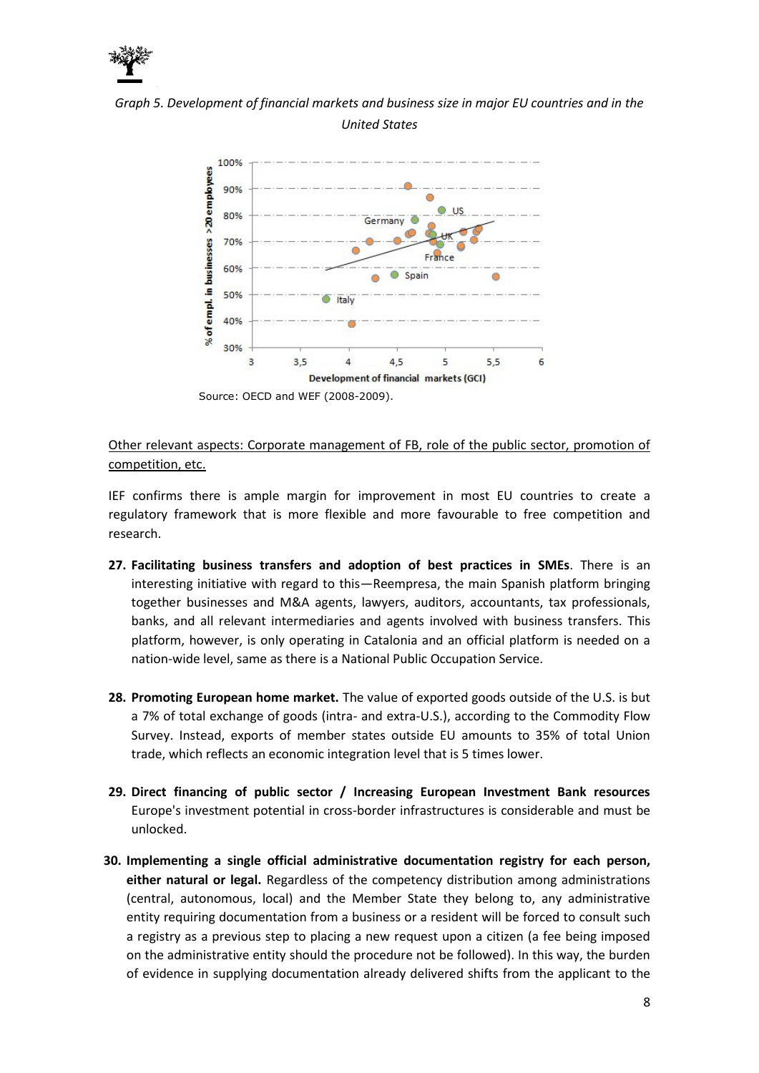

*Graph 5. Development of financial markets and business size in major EU countries and in the United States*



Other relevant aspects: Corporate management of FB, role of the public sector, promotion of competition, etc.

IEF confirms there is ample margin for improvement in most EU countries to create a regulatory framework that is more flexible and more favourable to free competition and research.

- **27. Facilitating business transfers and adoption of best practices in SMEs**. There is an interesting initiative with regard to this—Reempresa, the main Spanish platform bringing together businesses and M&A agents, lawyers, auditors, accountants, tax professionals, banks, and all relevant intermediaries and agents involved with business transfers. This platform, however, is only operating in Catalonia and an official platform is needed on a nation-wide level, same as there is a National Public Occupation Service.
- **28. Promoting European home market.** The value of exported goods outside of the U.S. is but a 7% of total exchange of goods (intra- and extra-U.S.), according to the Commodity Flow Survey. Instead, exports of member states outside EU amounts to 35% of total Union trade, which reflects an economic integration level that is 5 times lower.
- **29. Direct financing of public sector / Increasing European Investment Bank resources**  Europe's investment potential in cross-border infrastructures is considerable and must be unlocked.
- **30. Implementing a single official administrative documentation registry for each person, either natural or legal.** Regardless of the competency distribution among administrations (central, autonomous, local) and the Member State they belong to, any administrative entity requiring documentation from a business or a resident will be forced to consult such a registry as a previous step to placing a new request upon a citizen (a fee being imposed on the administrative entity should the procedure not be followed). In this way, the burden of evidence in supplying documentation already delivered shifts from the applicant to the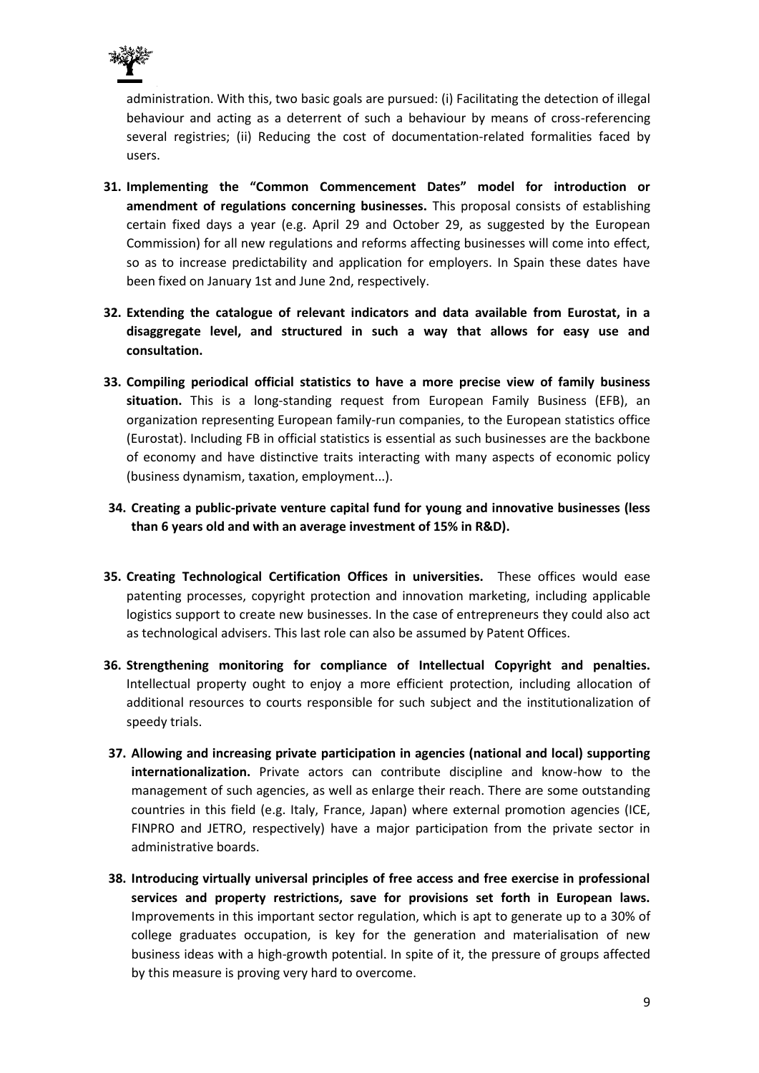

administration. With this, two basic goals are pursued: (i) Facilitating the detection of illegal behaviour and acting as a deterrent of such a behaviour by means of cross-referencing several registries; (ii) Reducing the cost of documentation-related formalities faced by users.

- **31. Implementing the "Common Commencement Dates" model for introduction or amendment of regulations concerning businesses.** This proposal consists of establishing certain fixed days a year (e.g. April 29 and October 29, as suggested by the European Commission) for all new regulations and reforms affecting businesses will come into effect, so as to increase predictability and application for employers. In Spain these dates have been fixed on January 1st and June 2nd, respectively.
- **32. Extending the catalogue of relevant indicators and data available from Eurostat, in a disaggregate level, and structured in such a way that allows for easy use and consultation.**
- **33. Compiling periodical official statistics to have a more precise view of family business situation.** This is a long-standing request from European Family Business (EFB), an organization representing European family-run companies, to the European statistics office (Eurostat). Including FB in official statistics is essential as such businesses are the backbone of economy and have distinctive traits interacting with many aspects of economic policy (business dynamism, taxation, employment...).
- **34. Creating a public-private venture capital fund for young and innovative businesses (less than 6 years old and with an average investment of 15% in R&D).**
- **35. Creating Technological Certification Offices in universities.** These offices would ease patenting processes, copyright protection and innovation marketing, including applicable logistics support to create new businesses. In the case of entrepreneurs they could also act as technological advisers. This last role can also be assumed by Patent Offices.
- **36. Strengthening monitoring for compliance of Intellectual Copyright and penalties.** Intellectual property ought to enjoy a more efficient protection, including allocation of additional resources to courts responsible for such subject and the institutionalization of speedy trials.
- **37. Allowing and increasing private participation in agencies (national and local) supporting internationalization.** Private actors can contribute discipline and know-how to the management of such agencies, as well as enlarge their reach. There are some outstanding countries in this field (e.g. Italy, France, Japan) where external promotion agencies (ICE, FINPRO and JETRO, respectively) have a major participation from the private sector in administrative boards.
- **38. Introducing virtually universal principles of free access and free exercise in professional services and property restrictions, save for provisions set forth in European laws.**  Improvements in this important sector regulation, which is apt to generate up to a 30% of college graduates occupation, is key for the generation and materialisation of new business ideas with a high-growth potential. In spite of it, the pressure of groups affected by this measure is proving very hard to overcome.